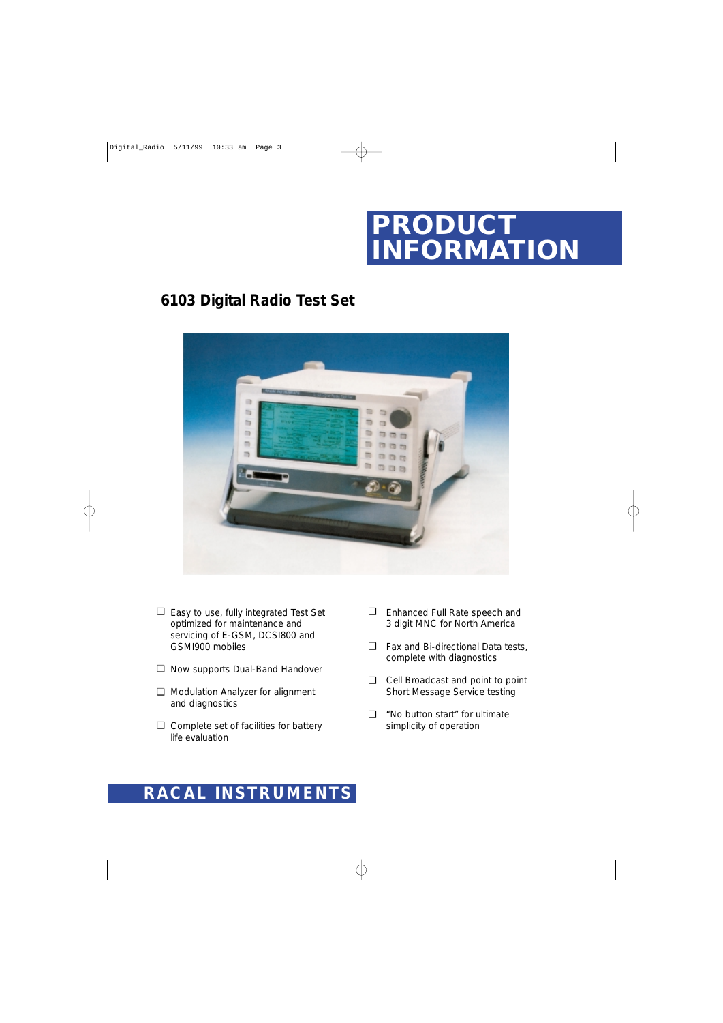

## **6103 Digital Radio Test Set**



- Easy to use, fully integrated Test Set ❑ optimized for maintenance and servicing of E-GSM, DCSI800 and GSMI900 mobiles
- Now supports Dual-Band Handover ❑
- □ Modulation Analyzer for alignment and diagnostics
- □ Complete set of facilities for battery life evaluation
- Enhanced Full Rate speech and 3 digit MNC for North America ❑
- Fax and Bi-directional Data tests, ❑ complete with diagnostics
- Cell Broadcast and point to point ❑ Short Message Service testing
- "No button start" for ultimate simplicity of operation  $\Box$

# **RACAL INSTRUMENTS**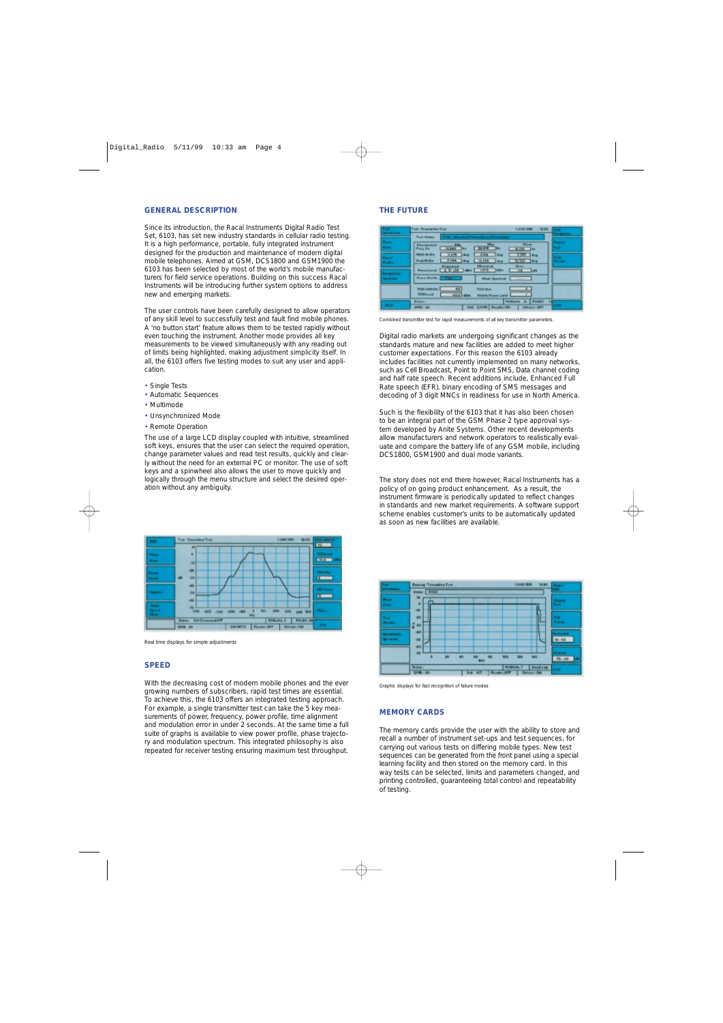#### **GENERAL DESCRIPTION**

Since its introduction, the Racal Instruments Digital Radio Test Set, 6103, has set new industry standards in cellular radio testing. It is a high performance, portable, fully integrated instrument designed for the production and maintenance of modern digital mobile telephones. Aimed at GSM, DCS1800 and GSM1900 the 6103 has been selected by most of the world's mobile manufacturers for field service operations. Building on this success Racal Instruments will be introducing further system options to address new and emerging markets.

The user controls have been carefully designed to allow operators of any skill level to successfully test and fault find mobile phones. A 'no button start' feature allows them to be tested rapidly without even touching the instrument. Another mode provides all key measurements to be viewed simultaneously with any reading out of limits being highlighted, making adjustment simplicity itself. In all, the 6103 offers five testing modes to suit any user and application.

- Single Tests
- Automatic Sequences
- Multimode
- Unsynchronized Mode

#### • Remote Operation

The use of a large LCD display coupled with intuitive, streamlined soft keys, ensures that the user can select the required operation, change parameter values and read test results, quickly and clearly without the need for an external PC or monitor. The use of soft keys and a spinwheel also allows the user to move quickly and logically through the menu structure and select the desired operation without any ambiguity.



*Real time displays for simple adjustments*

#### **SPEED**

With the decreasing cost of modern mobile phones and the ever growing numbers of subscribers, rapid test times are essential. To achieve this, the 6103 offers an integrated testing approach. For example, a single transmitter test can take the 5 key measurements of power, frequency, power profile, time alignment and modulation error in under 2 seconds. At the same time a full suite of graphs is available to view power profile, phase trajectory and modulation spectrum. This integrated philosophy is also repeated for receiver testing ensuring maximum test throughput.

#### **THE FUTURE**

| ,,,,,<br><b>MARINEZIA</b>        | Trust (Tronomittan Trust)                                                                                                                         | 10.00<br>TAASI ISBN                    | 15.400                          |
|----------------------------------|---------------------------------------------------------------------------------------------------------------------------------------------------|----------------------------------------|---------------------------------|
|                                  | <b>Tag lines</b><br>FAK - Masseus Vision Broad Rambinas                                                                                           |                                        | <b>The settlement</b>           |
| Players.<br><b>Forces</b>        | Mike<br><b>Maximum</b><br><b>FA 5-R</b><br>12,641<br>Food for                                                                                     | <b>Bibyan</b><br>$H$ $H$ $H$           | Гаразт<br><b>Turned</b>         |
| <b>Parante</b><br><b>Product</b> | 3,314<br><b><i>PERMIT RIGHT</i></b><br>5.858 844<br><b>But</b><br><b>H-RAA</b><br><b>Post Phillips</b><br><b>Takes</b><br>13.289<br><b>I</b> skup | 3.581 Brig<br>W.U.D. dvp               | Portfold<br><b>Channalis at</b> |
| 10030404                         | Pénamarad<br><b>ELIGIBITION</b>                                                                                                                   | Erner.<br>$-14 - 146$                  |                                 |
| <b>Spainter</b>                  | <b>Power Roofing C. F.M.C.</b><br>Mod. Spackup. E                                                                                                 | 14.444                                 |                                 |
|                                  | 明<br><b>TORARTON</b><br><b>TCH Illust</b><br><b>TORLOAD</b><br>810. 40+<br>Matrix Pause Land                                                      |                                        |                                 |
|                                  | Distinct in                                                                                                                                       | <b>PUXIBILIAL</b><br><b>POGEN</b><br>в |                                 |
| <b>HELE</b>                      | DAVID 1: 240<br><b>SAIL EXTRI MANAGERS</b>                                                                                                        | DIRECT LOTT                            | <b>COTT</b>                     |

*Combined transmitter test for rapid measurements of all key transmitter parameters.*

Digital radio markets are undergoing significant changes as the standards mature and new facilities are added to meet higher customer expectations. For this reason the 6103 already includes facilities not currently implemented on many networks, such as Cell Broadcast, Point to Point SMS, Data channel coding and half rate speech. Recent additions include, Enhanced Full Rate speech (EFR), binary encoding of SMS messages and decoding of 3 digit MNCs in readiness for use in North America.

Such is the flexibility of the 6103 that it has also been chosen to be an integral part of the GSM Phase 2 type approval system developed by Anite Systems. Other recent developments allow manufacturers and network operators to realistically evaluate and compare the battery life of any GSM mobile, including DCS1800, GSM1900 and dual mode variants.

The story does not end there however, Racal Instruments has a policy of on going product enhancement. As a result, the instrument firmware is periodically updated to reflect changes in standards and new market requirements. A software support scheme enables customer's units to be automatically updated as soon as new facilities are available.



*Graphic displays for fast recognition of failure modes*

#### **MEMORY CARDS**

The memory cards provide the user with the ability to store and recall a number of instrument set-ups and test sequences, for carrying out various tests on differing mobile types. New test sequences can be generated from the front panel using a special learning facility and then stored on the memory card. In this way tests can be selected, limits and parameters changed, and printing controlled, guaranteeing total control and repeatability of testing.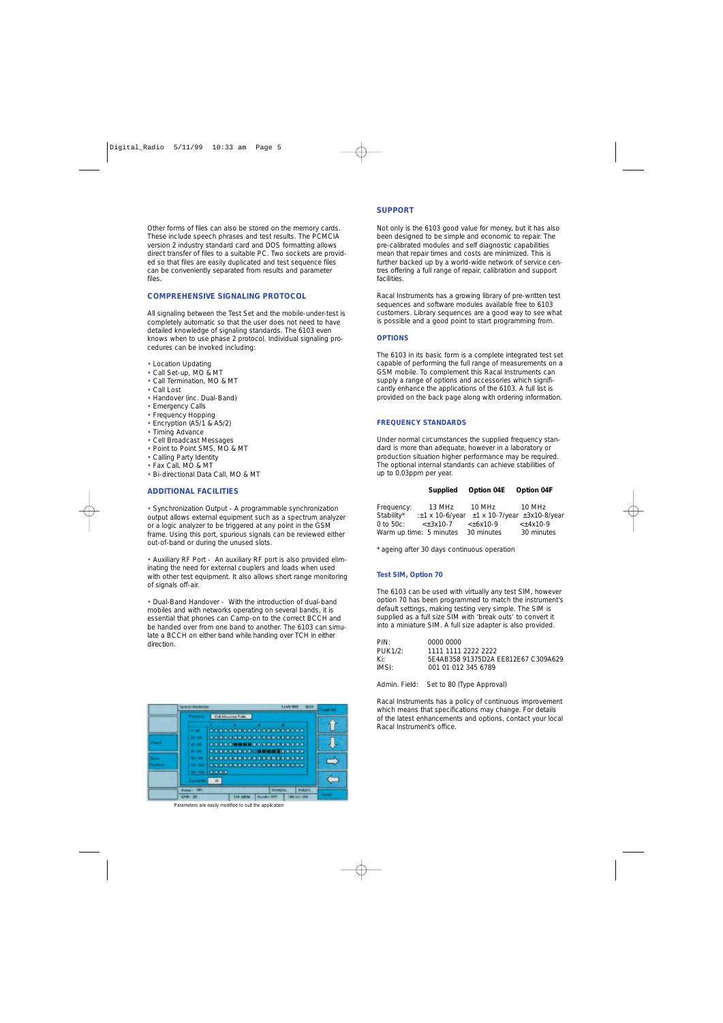Other forms of files can also be stored on the memory cards. These include speech phrases and test results. The PCMCIA version 2 industry standard card and DOS formatting allows direct transfer of files to a suitable PC. Two sockets are provided so that files are easily duplicated and test sequence files can be conveniently separated from results and parameter files.

### **COMPREHENSIVE SIGNALING PROTOCOL**

All signaling between the Test Set and the mobile-under-test is completely automatic so that the user does not need to have detailed knowledge of signaling standards. The 6103 even knows when to use phase 2 protocol. Individual signaling procedures can be invoked including:

- Location Updating
- Call Set-up, MO & MT
- Call Termination, MO & MT
- Call Lost
- Handover (inc. Dual-Band)
- Emergency Calls
- Frequency Hopping
- Encryption (A5/1 & A5/2)
- Timing Advance
- Cell Broadcast Messages
- Point to Point SMS, MO & MT
- Calling Party Identity
- Fax Call, MO & MT
- Bi-directional Data Call, MO & MT

#### **ADDITIONAL FACILITIES**

• Synchronization Output - A programmable synchronization output allows external equipment such as a spectrum analyzer or a logic analyzer to be triggered at any point in the GSM frame. Using this port, spurious signals can be reviewed either out-of-band or during the unused slots.

• Auxiliary RF Port - An auxiliary RF port is also provided eliminating the need for external couplers and loads when used with other test equipment. It also allows short range monitoring of signals off-air.

• Dual-Band Handover - With the introduction of dual-band mobiles and with networks operating on several bands, it is essential that phones can Camp-on to the correct BCCH and be handed over from one band to another. The 6103 can simulate a BCCH on either band while handing over TCH in either direction.

|                               | <b><i>Distances</i></b> | Coll Alloquines Tobbs |  |                 |                     |  |
|-------------------------------|-------------------------|-----------------------|--|-----------------|---------------------|--|
|                               |                         |                       |  |                 |                     |  |
|                               |                         |                       |  |                 |                     |  |
|                               | $1 - 20$                | 000000000000000000000 |  |                 |                     |  |
|                               | $21 - 48$               |                       |  |                 |                     |  |
| <b>Carroll</b>                | $41 - 4.8$              | .                     |  |                 |                     |  |
|                               | $81 - 88$               |                       |  |                 |                     |  |
| <b>Figures</b>                | 81-780-                 |                       |  |                 |                     |  |
| <b><i><u>Parsmana</u></i></b> | $104 - 100$             |                       |  |                 |                     |  |
|                               | $134 - 134$             | <b>BREE</b>           |  |                 |                     |  |
|                               |                         |                       |  |                 |                     |  |
|                               | <b>Current Birt</b>     | n                     |  |                 |                     |  |
|                               | Dalley L. Mile          |                       |  | <b>RIFORDAL</b> | <b><i>RIBEW</i></b> |  |

*Parameters are easily modified to suit the application*

#### **SUPPORT**

Not only is the 6103 good value for money, but it has also been designed to be simple and economic to repair. The pre-calibrated modules and self diagnostic capabilities mean that repair times and costs are minimized. This is further backed up by a world-wide network of service centres offering a full range of repair, calibration and support facilities.

Racal Instruments has a growing library of pre-written test sequences and software modules available free to 6103 customers. Library sequences are a good way to see what is possible and a good point to start programming from.

#### **OPTIONS**

The 6103 in its basic form is a complete integrated test set capable of performing the full range of measurements on a GSM mobile. To complement this Racal Instruments can supply a range of options and accessories which significantly enhance the applications of the 6103. A full list is provided on the back page along with ordering information.

#### **FREQUENCY STANDARDS**

Under normal circumstances the supplied frequency standard is more than adequate, however in a laboratory or production situation higher performance may be required. The optional internal standards can achieve stabilities of up to 0.03ppm per year.

| Supplied | Option 04E | Option 04F |
|----------|------------|------------|
|----------|------------|------------|

| Frequency:     | 13 MHz                  | 10 MHz                                                    | 10 MHz      |
|----------------|-------------------------|-----------------------------------------------------------|-------------|
| Stability*     |                         | $\pm$ 1 x 10-6/year $\pm$ 1 x 10-7/year $\pm$ 3x10-8/year |             |
| $0$ to $50c$ : | $\leq$ + 3x10-7         | $\leftarrow +6x10-9$                                      | $< +4x10-9$ |
|                | Warm up time: 5 minutes | 30 minutes                                                | 30 minutes  |

\* ageing after 30 days continuous operation

#### **Test SIM, Option 70**

The 6103 can be used with virtually any test SIM, however option 70 has been programmed to match the instrument's default settings, making testing very simple. The SIM is supplied as a full size SIM with 'break outs' to convert it into a miniature SIM. A full size adapter is also provided.

| PIN:    | 0000 0000                           |
|---------|-------------------------------------|
| PUK1/2: | 1111 1111 2222 2222                 |
| Ki:     | 5E4AB358 91375D2A EE812E67 C309A629 |
| IMSI:   | 001 01 012 345 6789                 |
|         |                                     |

Admin. Field: Set to 80 (Type Approval)

Racal Instruments has a policy of continuous improvement which means that specifications may change. For details of the latest enhancements and options, contact your local Racal Instrument's office.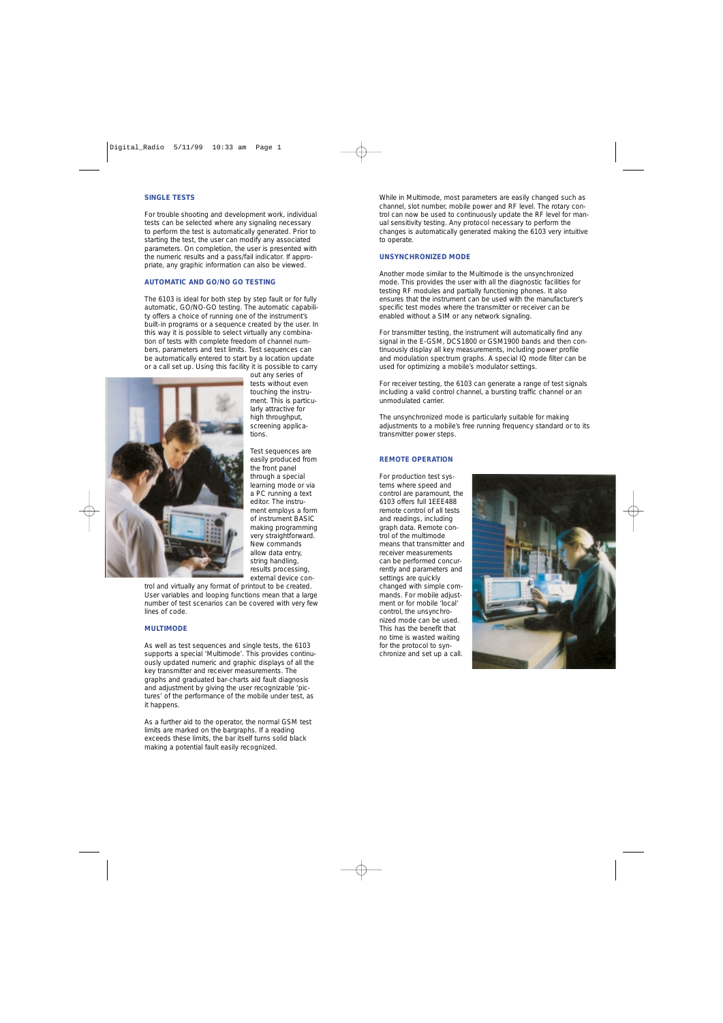#### **SINGLE TESTS**

For trouble shooting and development work, individual tests can be selected where any signaling necessary to perform the test is automatically generated. Prior to starting the test, the user can modify any associated parameters. On completion, the user is presented with the numeric results and a pass/fail indicator. If appropriate, any graphic information can also be viewed.

#### **AUTOMATIC AND GO/NO GO TESTING**

The 6103 is ideal for both step by step fault or for fully automatic, GO/NO-GO testing. The automatic capability offers a choice of running one of the instrument's built-in programs or a sequence created by the user. In this way it is possible to select virtually any combination of tests with complete freedom of channel numbers, parameters and test limits. Test sequences can be automatically entered to start by a location update or a call set up. Using this facility it is possible to carry



out any series of tests without even touching the instrument. This is particularly attractive for high throughput, screening applications.

Test sequences are easily produced from the front panel through a special learning mode or via a PC running a text editor. The instrument employs a form of instrument BASIC making programming very straightforward. New commands allow data entry, string handling, results processing, external device con-

trol and virtually any format of printout to be created. User variables and looping functions mean that a large number of test scenarios can be covered with very few lines of code.

#### **MULTIMODE**

As well as test sequences and single tests, the 6103 supports a special 'Multimode'. This provides continuously updated numeric and graphic displays of all the key transmitter and receiver measurements. The graphs and graduated bar-charts aid fault diagnosis and adjustment by giving the user recognizable 'pictures' of the performance of the mobile under test, as it happens.

As a further aid to the operator, the normal GSM test limits are marked on the bargraphs. If a reading exceeds these limits, the bar itself turns solid black making a potential fault easily recognized.

While in Multimode, most parameters are easily changed such as channel, slot number, mobile power and RF level. The rotary control can now be used to continuously update the RF level for manual sensitivity testing. Any protocol necessary to perform the changes is automatically generated making the 6103 very intuitive to operate.

#### **UNSYNCHRONIZED MODE**

Another mode similar to the Multimode is the unsynchronized mode. This provides the user with all the diagnostic facilities for testing RF modules and partially functioning phones. It also ensures that the instrument can be used with the manufacturer's specific test modes where the transmitter or receiver can be enabled without a SIM or any network signaling.

For transmitter testing, the instrument will automatically find any signal in the E-GSM, DCS1800 or GSM1900 bands and then continuously display all key measurements, including power profile and modulation spectrum graphs. A special IQ mode filter can be used for optimizing a mobile's modulator settings.

For receiver testing, the 6103 can generate a range of test signals including a valid control channel, a bursting traffic channel or an unmodulated carrier.

The unsynchronized mode is particularly suitable for making adjustments to a mobile's free running frequency standard or to its transmitter power steps.

#### **REMOTE OPERATION**

For production test systems where speed and control are paramount, the 6103 offers full 1EEE488 remote control of all tests and readings, including graph data. Remote control of the multimode means that transmitter and receiver measurements can be performed concurrently and parameters and settings are quickly changed with simple commands. For mobile adjustment or for mobile 'local' control, the unsynchronized mode can be used. This has the benefit that no time is wasted waiting for the protocol to synchronize and set up a call.

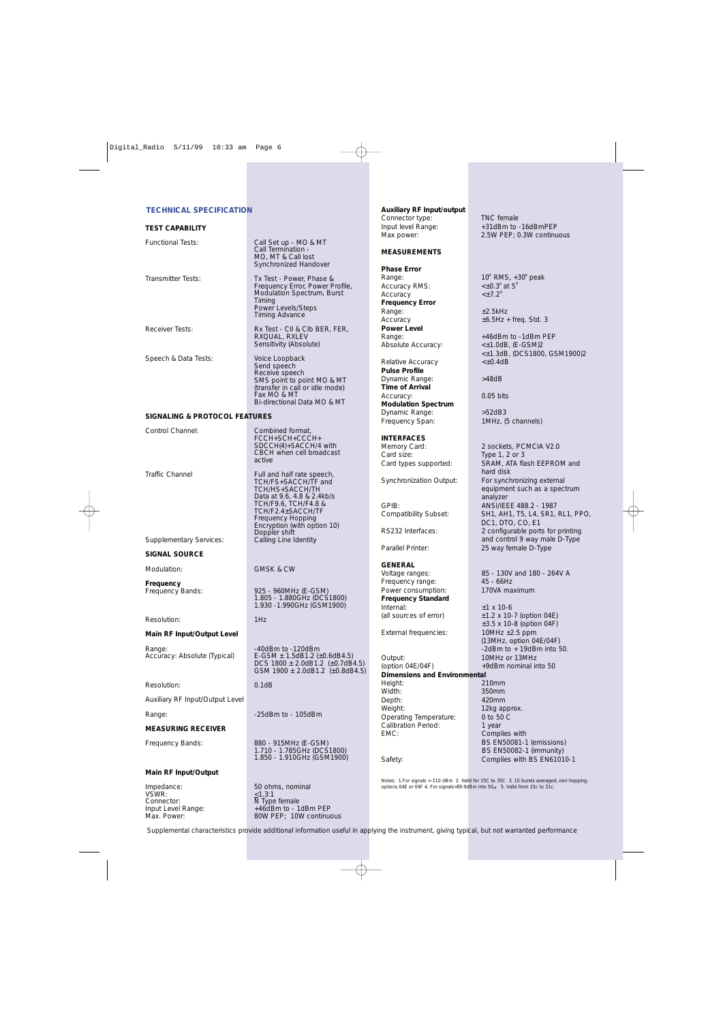#### **TECHNICAL SPECIFICATION**

#### **TEST CAPABILITY**

| <b>Functional Tests:</b>       | Call Set up - MO & MT<br>Call Termination -<br>MO, MT & Call lost<br>Synchronized Handover                                                                                                                                  |
|--------------------------------|-----------------------------------------------------------------------------------------------------------------------------------------------------------------------------------------------------------------------------|
| <b>Transmitter Tests:</b>      | Tx Test - Power, Phase &<br>Frequency Error, Power Profile,<br>Modulation Spectrum, Burst<br>Timing<br>Power Levels/Steps<br><b>Timing Advance</b>                                                                          |
| <b>Receiver Tests:</b>         | Rx Test - CII & CIb BER, FER,<br>RXQUAL, RXLEV<br>Sensitivity (Absolute)                                                                                                                                                    |
| Speech & Data Tests:           | Voice Loopback<br>Send speech<br>Receive speech<br>SMS point to point MO & MT<br>(transfer in call or idle mode)<br>Fax MO & MT<br>Bi-directional Data MO & MT                                                              |
| SIGNALING & PROTOCOL FEATURES  |                                                                                                                                                                                                                             |
| Control Channel:               | Combined format,<br>FCCH+SCH+CCCH+<br>SDCCH(4)+SACCH/4 with<br>CBCH when cell broadcast<br>active                                                                                                                           |
| <b>Traffic Channel</b>         | Full and half rate speech,<br>TCH/FS+SACCH/TF and<br>TCH/HS+SACCH/TH<br>Data at 9.6, 4.8 & 2.4kb/s<br>TCH/F9.6, TCH/F4.8 &<br>TCH/F2.4±SACCH/TF<br><b>Frequency Hopping</b><br>Encryption (with option 10)<br>Doppler shift |
| <b>Supplementary Services:</b> | Calling Line Identity                                                                                                                                                                                                       |
| <b>SIGNAL SOURCE</b>           |                                                                                                                                                                                                                             |
| Modulation:                    | <b>GMSK &amp; CW</b>                                                                                                                                                                                                        |
| Frequency<br>Frequency Bands:  | 925 - 960MHz (E-GSM)<br>1.805 - 1.880GHz (DCS1800)<br>1.930 - 1.990GHz (GSM1900)                                                                                                                                            |
| Resolution:                    | 1Hz                                                                                                                                                                                                                         |

#### **Main RF Input/Output Level**

Range:  $\frac{40dBm}{100}$  .  $\frac{40dBm}{100}$  to  $\frac{120dBm}{100}$  . E-GSM  $\pm$  1.5dB1.2 ( $\pm$ 

Resolution: 0.1dB

Auxiliary RF Input/Output Level

Range:  $\qquad \qquad -25$ dBm to - 105dBm

#### **MEASURING RECEIVER**

Frequency Bands: 880 - 915MHz (E-GSM)

#### **Main RF Input/Output**

Impedance: 50 ohms, nominal VSWR:  $\leq$ 1.3:1 Connector: N Type female Input Level Range: +46dBm to - 1dBm PEP **Auxiliary RF Input/output** Connector type: TNC female<br>
Input level Range: +31dBm to

#### **MEASUREMENTS**

### **Phase Error**

Accuracy RMS: Accuracy **Frequency Error** Range:  $\pm 2.5$ kHz **Power Level** Absolute Accuracy:

Relative Accuracy **Pulse Profile** Dynamic Range: >48dB **Time of Arrival** Accuracy: 0.05 bits **Modulation Spectrum** Dynamic Range: <br>
Frequency Span: TMHz. (5 channels) Frequency Span:

#### **INTERFACES**

#### **GENERAL**

Frequency range: 45 - 66Hz<br>Power consumption: 170VA maximum Power consumption: **Frequency Standard** Internal:  $\pm 1 \times 10^{-6}$ 

External frequencies: 10MHz ± 2.5 ppm

Output: 10MHz or 13MHz  $($ option 04E/04F $)$  +9dBm nominal into 50 **Dimensions and Environmental** Height: 210mm Depth: 420mm Weight: 12kg approx. Operating Temperature: 0 to 50 C Calibration Period: 1 year EMC: Complies with

+31dBm to -16dBmPEP Max power: 2.5W PEP; 0.3W continuous

Range:  $10^{\circ}$  RMS,  $+30^{\circ}$  peak  $<\pm 0.3^\circ$  at  $5^\circ$  $\leq$  + 7 2<sup>o</sup>

Accuracy  $\pm 6.5$ Hz + freq. Std. 3

+46dBm to -1dBm PEP<br><±1.0dB, (E-GSM)2 <±1.3dB, (DCS1800, GSM1900)2

Memory Card: 2 sockets, PCMCIA V2.0<br>
Card size: Type 1, 2 or 3 Type  $1, 2$  or  $3$ Card types supported: SRAM, ATA flash EEPROM and hard disk Synchronization Output: For synchronizing external equipment such as a spectrum analyzer GPIB: ANSI/IEEE 488.2 - 1987 Compatibility Subset: SH1, AH1, T5, L4, SR1, RL1, PPO, DC1, DTO, CO, E1 RS232 Interfaces: 2 configurable ports for printing and control 9 way male D-Type Parallel Printer: 25 way female D-Type

Voltage ranges: 85 - 130V and 180 - 264V A

(all sources of error)  $\pm 1.2 \times 10-7$  (option 04E) ±3.5 x 10-8 (option 04F) (13MHz, option 04E/04F) -2dBm to + 19dBm into 50.

350mm BS EN50081-1 (emissions) BS EN50082-1 (immunity) Safety: Complies with BS EN61010-1

*Notes: 1.For signals >-110 dBm 2. Valid for 15C to 35C 3. 10 bursts averaged, non hopping, options 04E or 04F 4. For signals>89.9dBm into 50*d *5. Valid from 15c to 31c.*

Supplemental characteristics provide additional information useful in applying the instrument, giving typical, but not warranted performance

 $E-GSM \pm 1.5$ dB1.2 (±0.6dB4.5) DCS 1800 ± 2.0dB1.2 (±0.7dB4.5) GSM 1900  $\pm$  2.0dB1.2 ( $\pm$ 0.8dB4.5)

1.710 - 1.785GHz (DCS1800) 1.850 - 1.910GHz (GSM1900)

80W PEP; 10W continuous